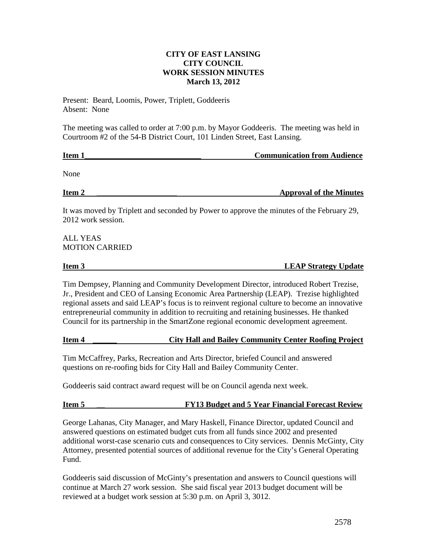# **CITY OF EAST LANSING CITY COUNCIL WORK SESSION MINUTES March 13, 2012**

Present: Beard, Loomis, Power, Triplett, Goddeeris Absent: None

The meeting was called to order at 7:00 p.m. by Mayor Goddeeris. The meeting was held in Courtroom #2 of the 54-B District Court, 101 Linden Street, East Lansing.

| <b>Item</b> | <b>Communication from Audience</b> |
|-------------|------------------------------------|
|             |                                    |

None

**Item 2 Example 2 Example 2 Example 2 Example 2 Example 2 Example 2 Example 2 Example 2 Example 2 Example 2 Example 2 Example 2 Example 2 Example 2 Example 2 Example 2 Example 2 Example** 

It was moved by Triplett and seconded by Power to approve the minutes of the February 29, 2012 work session.

ALL YEAS MOTION CARRIED

# **Item 3** LEAP Strategy Update

Tim Dempsey, Planning and Community Development Director, introduced Robert Trezise, Jr., President and CEO of Lansing Economic Area Partnership (LEAP). Trezise highlighted regional assets and said LEAP's focus is to reinvent regional culture to become an innovative entrepreneurial community in addition to recruiting and retaining businesses. He thanked Council for its partnership in the SmartZone regional economic development agreement.

# **Item 4 \_\_\_\_\_\_ City Hall and Bailey Community Center Roofing Project**

Tim McCaffrey, Parks, Recreation and Arts Director, briefed Council and answered questions on re-roofing bids for City Hall and Bailey Community Center.

Goddeeris said contract award request will be on Council agenda next week.

# **Item 5 \_\_ FY13 Budget and 5 Year Financial Forecast Review**

George Lahanas, City Manager, and Mary Haskell, Finance Director, updated Council and answered questions on estimated budget cuts from all funds since 2002 and presented additional worst-case scenario cuts and consequences to City services. Dennis McGinty, City Attorney, presented potential sources of additional revenue for the City's General Operating Fund.

Goddeeris said discussion of McGinty's presentation and answers to Council questions will continue at March 27 work session. She said fiscal year 2013 budget document will be reviewed at a budget work session at 5:30 p.m. on April 3, 3012.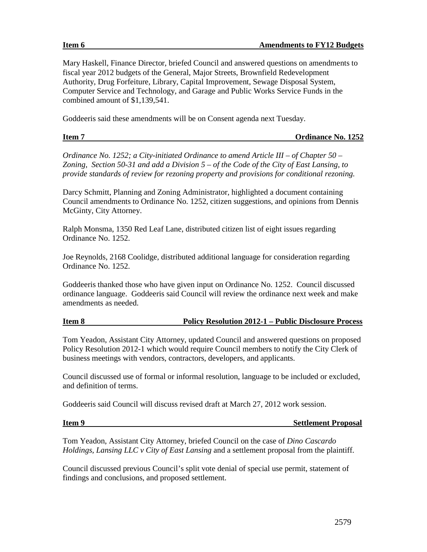Mary Haskell, Finance Director, briefed Council and answered questions on amendments to fiscal year 2012 budgets of the General, Major Streets, Brownfield Redevelopment Authority, Drug Forfeiture, Library, Capital Improvement, Sewage Disposal System, Computer Service and Technology, and Garage and Public Works Service Funds in the combined amount of \$1,139,541.

Goddeeris said these amendments will be on Consent agenda next Tuesday.

| <b>Item</b> | <b>Ordinance No. 1252</b> |
|-------------|---------------------------|
|             |                           |

*Ordinance No. 1252; a City-initiated Ordinance to amend Article III – of Chapter 50 – Zoning, Section 50-31 and add a Division 5 – of the Code of the City of East Lansing, to provide standards of review for rezoning property and provisions for conditional rezoning.*

Darcy Schmitt, Planning and Zoning Administrator, highlighted a document containing Council amendments to Ordinance No. 1252, citizen suggestions, and opinions from Dennis McGinty, City Attorney.

Ralph Monsma, 1350 Red Leaf Lane, distributed citizen list of eight issues regarding Ordinance No. 1252.

Joe Reynolds, 2168 Coolidge, distributed additional language for consideration regarding Ordinance No. 1252.

Goddeeris thanked those who have given input on Ordinance No. 1252. Council discussed ordinance language. Goddeeris said Council will review the ordinance next week and make amendments as needed.

# **Item 8 Policy Resolution 2012-1 – Public Disclosure Process**

Tom Yeadon, Assistant City Attorney, updated Council and answered questions on proposed Policy Resolution 2012-1 which would require Council members to notify the City Clerk of business meetings with vendors, contractors, developers, and applicants.

Council discussed use of formal or informal resolution, language to be included or excluded, and definition of terms.

Goddeeris said Council will discuss revised draft at March 27, 2012 work session.

### **Item 9** Settlement Proposal

Tom Yeadon, Assistant City Attorney, briefed Council on the case of *Dino Cascardo Holdings, Lansing LLC v City of East Lansing* and a settlement proposal from the plaintiff.

Council discussed previous Council's split vote denial of special use permit, statement of findings and conclusions, and proposed settlement.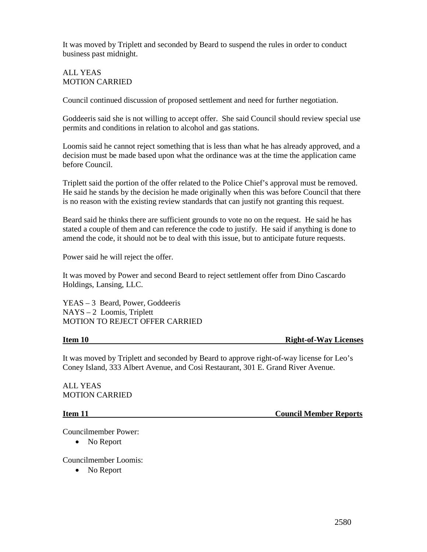It was moved by Triplett and seconded by Beard to suspend the rules in order to conduct business past midnight.

## ALL YEAS MOTION CARRIED

Council continued discussion of proposed settlement and need for further negotiation.

Goddeeris said she is not willing to accept offer. She said Council should review special use permits and conditions in relation to alcohol and gas stations.

Loomis said he cannot reject something that is less than what he has already approved, and a decision must be made based upon what the ordinance was at the time the application came before Council.

Triplett said the portion of the offer related to the Police Chief's approval must be removed. He said he stands by the decision he made originally when this was before Council that there is no reason with the existing review standards that can justify not granting this request.

Beard said he thinks there are sufficient grounds to vote no on the request. He said he has stated a couple of them and can reference the code to justify. He said if anything is done to amend the code, it should not be to deal with this issue, but to anticipate future requests.

Power said he will reject the offer.

It was moved by Power and second Beard to reject settlement offer from Dino Cascardo Holdings, Lansing, LLC.

YEAS – 3 Beard, Power, Goddeeris NAYS – 2 Loomis, Triplett MOTION TO REJECT OFFER CARRIED

### **Item 10 Right-of-Way Licenses**

It was moved by Triplett and seconded by Beard to approve right-of-way license for Leo's Coney Island, 333 Albert Avenue, and Cosi Restaurant, 301 E. Grand River Avenue.

ALL YEAS MOTION CARRIED

**Item 11** Council Member Reports

Councilmember Power:

• No Report

Councilmember Loomis:

• No Report